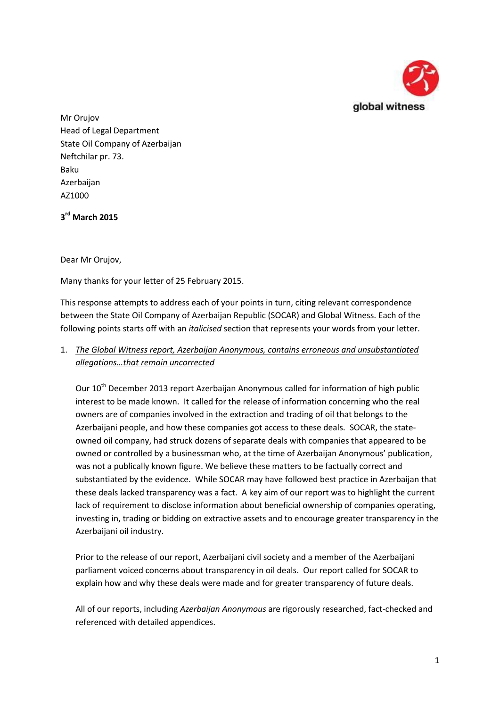

Mr Orujov Head of Legal Department State Oil Company of Azerbaijan Neftchilar pr. 73. Baku Azerbaijan AZ1000

**3 rd March 2015**

Dear Mr Orujov,

Many thanks for your letter of 25 February 2015.

This response attempts to address each of your points in turn, citing relevant correspondence between the State Oil Company of Azerbaijan Republic (SOCAR) and Global Witness. Each of the following points starts off with an *italicised* section that represents your words from your letter.

## 1. *The Global Witness report, Azerbaijan Anonymous, contains erroneous and unsubstantiated allegations…that remain uncorrected*

Our 10<sup>th</sup> December 2013 report Azerbaijan Anonymous called for information of high public interest to be made known. It called for the release of information concerning who the real owners are of companies involved in the extraction and trading of oil that belongs to the Azerbaijani people, and how these companies got access to these deals. SOCAR, the stateowned oil company, had struck dozens of separate deals with companies that appeared to be owned or controlled by a businessman who, at the time of Azerbaijan Anonymous' publication, was not a publically known figure. We believe these matters to be factually correct and substantiated by the evidence. While SOCAR may have followed best practice in Azerbaijan that these deals lacked transparency was a fact. A key aim of our report was to highlight the current lack of requirement to disclose information about beneficial ownership of companies operating, investing in, trading or bidding on extractive assets and to encourage greater transparency in the Azerbaijani oil industry.

Prior to the release of our report, Azerbaijani civil society and a member of the Azerbaijani parliament voiced concerns about transparency in oil deals. Our report called for SOCAR to explain how and why these deals were made and for greater transparency of future deals.

All of our reports, including *Azerbaijan Anonymous* are rigorously researched, fact-checked and referenced with detailed appendices.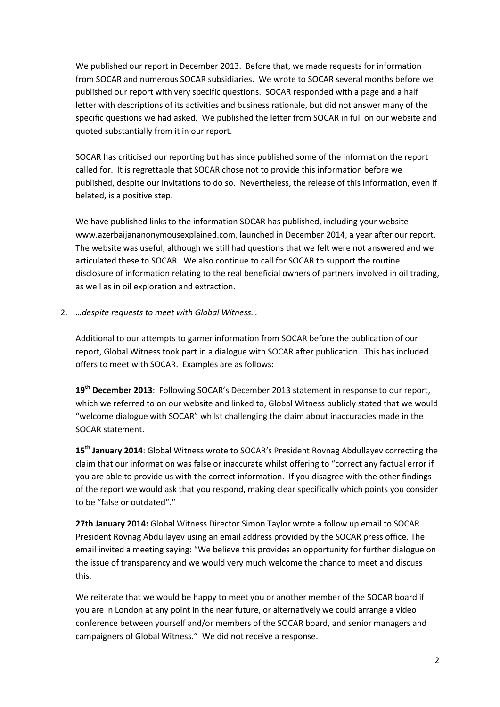We published our report in December 2013. Before that, we made requests for information from SOCAR and numerous SOCAR subsidiaries. We wrote to SOCAR several months before we published our report with very specific questions. SOCAR responded with a page and a half letter with descriptions of its activities and business rationale, but did not answer many of the specific questions we had asked. We published the letter from SOCAR in full on our website and quoted substantially from it in our report.

SOCAR has criticised our reporting but has since published some of the information the report called for. It is regrettable that SOCAR chose not to provide this information before we published, despite our invitations to do so. Nevertheless, the release of this information, even if belated, is a positive step.

We have published links to the information SOCAR has published, including your website [www.azerbaijananonymousexplained.com,](http://www.azerbaijananonymousexplained.com/) launched in December 2014, a year after our report. The website was useful, although we still had questions that we felt were not answered and we articulated these to SOCAR. We also continue to call for SOCAR to support the routine disclosure of information relating to the real beneficial owners of partners involved in oil trading, as well as in oil exploration and extraction.

#### 2. *…despite requests to meet with Global Witness…*

Additional to our attempts to garner information from SOCAR before the publication of our report, Global Witness took part in a dialogue with SOCAR after publication. This has included offers to meet with SOCAR. Examples are as follows:

**19th December 2013**: Following SOCAR's December 2013 statement in response to our report, which we referred to on our website and linked to, Global Witness publicly stated that we would "welcome dialogue with SOCAR" whilst challenging the claim about inaccuracies made in the SOCAR statement.

**15th January 2014**: Global Witness wrote to SOCAR's President Rovnag Abdullayev correcting the claim that our information was false or inaccurate whilst offering to "correct any factual error if you are able to provide us with the correct information. If you disagree with the other findings of the report we would ask that you respond, making clear specifically which points you consider to be "false or outdated"."

**27th January 2014:** Global Witness Director Simon Taylor wrote a follow up email to SOCAR President Rovnag Abdullayev using an email address provided by the SOCAR press office. The email invited a meeting saying: "We believe this provides an opportunity for further dialogue on the issue of transparency and we would very much welcome the chance to meet and discuss this.

We reiterate that we would be happy to meet you or another member of the SOCAR board if you are in London at any point in the near future, or alternatively we could arrange a video conference between yourself and/or members of the SOCAR board, and senior managers and campaigners of Global Witness." We did not receive a response.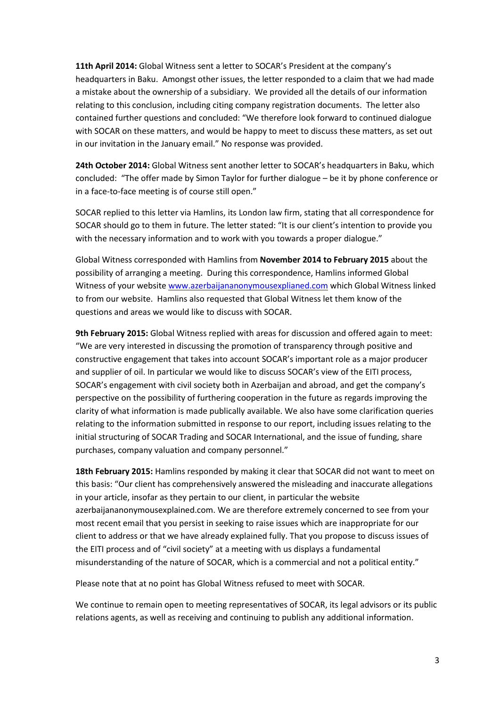**11th April 2014:** Global Witness sent a letter to SOCAR's President at the company's headquarters in Baku. Amongst other issues, the letter responded to a claim that we had made a mistake about the ownership of a subsidiary. We provided all the details of our information relating to this conclusion, including citing company registration documents. The letter also contained further questions and concluded: "We therefore look forward to continued dialogue with SOCAR on these matters, and would be happy to meet to discuss these matters, as set out in our invitation in the January email." No response was provided.

**24th October 2014:** Global Witness sent another letter to SOCAR's headquarters in Baku, which concluded: "The offer made by Simon Taylor for further dialogue – be it by phone conference or in a face-to-face meeting is of course still open."

SOCAR replied to this letter via Hamlins, its London law firm, stating that all correspondence for SOCAR should go to them in future. The letter stated: "It is our client's intention to provide you with the necessary information and to work with you towards a proper dialogue."

Global Witness corresponded with Hamlins from **November 2014 to February 2015** about the possibility of arranging a meeting. During this correspondence, Hamlins informed Global Witness of your websit[e www.azerbaijananonymousexplianed.com](http://www.azerbaijananonymousexplianed.com/) which Global Witness linked to from our website. Hamlins also requested that Global Witness let them know of the questions and areas we would like to discuss with SOCAR.

**9th February 2015:** Global Witness replied with areas for discussion and offered again to meet: "We are very interested in discussing the promotion of transparency through positive and constructive engagement that takes into account SOCAR's important role as a major producer and supplier of oil. In particular we would like to discuss SOCAR's view of the EITI process, SOCAR's engagement with civil society both in Azerbaijan and abroad, and get the company's perspective on the possibility of furthering cooperation in the future as regards improving the clarity of what information is made publically available. We also have some clarification queries relating to the information submitted in response to our report, including issues relating to the initial structuring of SOCAR Trading and SOCAR International, and the issue of funding, share purchases, company valuation and company personnel."

**18th February 2015:** Hamlins responded by making it clear that SOCAR did not want to meet on this basis: "Our client has comprehensively answered the misleading and inaccurate allegations in your article, insofar as they pertain to our client, in particular the website azerbaijananonymousexplained.com. We are therefore extremely concerned to see from your most recent email that you persist in seeking to raise issues which are inappropriate for our client to address or that we have already explained fully. That you propose to discuss issues of the EITI process and of "civil society" at a meeting with us displays a fundamental misunderstanding of the nature of SOCAR, which is a commercial and not a political entity."

Please note that at no point has Global Witness refused to meet with SOCAR.

We continue to remain open to meeting representatives of SOCAR, its legal advisors or its public relations agents, as well as receiving and continuing to publish any additional information.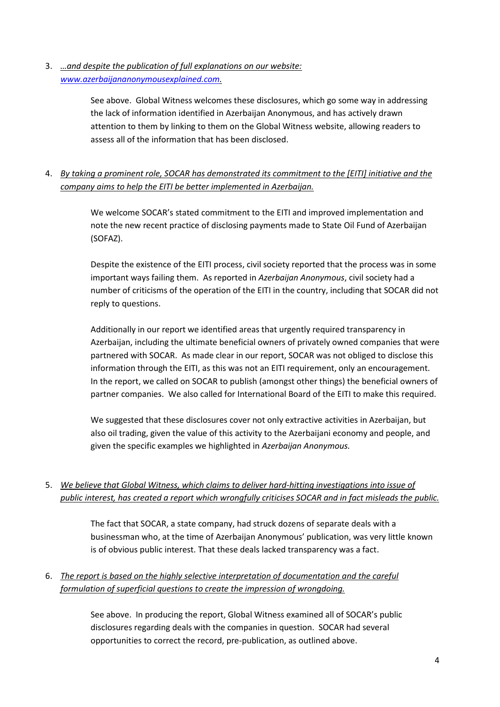3. *…and despite the publication of full explanations on our website: [www.azerbaijananonymousexplained.com.](http://www.azerbaijananonymousexplained.com/)*

> See above. Global Witness welcomes these disclosures, which go some way in addressing the lack of information identified in Azerbaijan Anonymous, and has actively drawn attention to them by linking to them on the Global Witness website, allowing readers to assess all of the information that has been disclosed.

## 4. *By taking a prominent role, SOCAR has demonstrated its commitment to the [EITI] initiative and the company aims to help the EITI be better implemented in Azerbaijan.*

We welcome SOCAR's stated commitment to the EITI and improved implementation and note the new recent practice of disclosing payments made to State Oil Fund of Azerbaijan (SOFAZ).

Despite the existence of the EITI process, civil society reported that the process was in some important ways failing them. As reported in *Azerbaijan Anonymous*, civil society had a number of criticisms of the operation of the EITI in the country, including that SOCAR did not reply to questions.

Additionally in our report we identified areas that urgently required transparency in Azerbaijan, including the ultimate beneficial owners of privately owned companies that were partnered with SOCAR. As made clear in our report, SOCAR was not obliged to disclose this information through the EITI, as this was not an EITI requirement, only an encouragement. In the report, we called on SOCAR to publish (amongst other things) the beneficial owners of partner companies. We also called for International Board of the EITI to make this required.

We suggested that these disclosures cover not only extractive activities in Azerbaijan, but also oil trading, given the value of this activity to the Azerbaijani economy and people, and given the specific examples we highlighted in *Azerbaijan Anonymous.*

## 5. *We believe that Global Witness, which claims to deliver hard-hitting investigations into issue of public interest, has created a report which wrongfully criticises SOCAR and in fact misleads the public.*

The fact that SOCAR, a state company, had struck dozens of separate deals with a businessman who, at the time of Azerbaijan Anonymous' publication, was very little known is of obvious public interest. That these deals lacked transparency was a fact.

## 6. *The report is based on the highly selective interpretation of documentation and the careful formulation of superficial questions to create the impression of wrongdoing.*

See above. In producing the report, Global Witness examined all of SOCAR's public disclosures regarding deals with the companies in question. SOCAR had several opportunities to correct the record, pre-publication, as outlined above.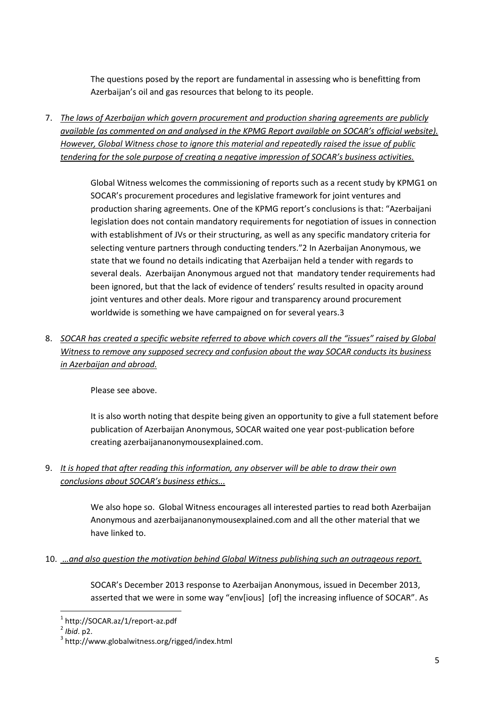The questions posed by the report are fundamental in assessing who is benefitting from Azerbaijan's oil and gas resources that belong to its people.

7. *The laws of Azerbaijan which govern procurement and production sharing agreements are publicly available (as commented on and analysed in the KPMG Report available on SOCAR's official website). However, Global Witness chose to ignore this material and repeatedly raised the issue of public tendering for the sole purpose of creating a negative impression of SOCAR's business activities.* 

> Global Witness welcomes the commissioning of reports such as a recent study by KPMG1 on SOCAR's procurement procedures and legislative framework for joint ventures and production sharing agreements. One of the KPMG report's conclusions is that: "Azerbaijani legislation does not contain mandatory requirements for negotiation of issues in connection with establishment of JVs or their structuring, as well as any specific mandatory criteria for selecting venture partners through conducting tenders."2 In Azerbaijan Anonymous, we state that we found no details indicating that Azerbaijan held a tender with regards to several deals. Azerbaijan Anonymous argued not that mandatory tender requirements had been ignored, but that the lack of evidence of tenders' results resulted in opacity around joint ventures and other deals. More rigour and transparency around procurement worldwide is something we have campaigned on for several years.3

8. *SOCAR has created a specific website referred to above which covers all the "issues" raised by Global Witness to remove any supposed secrecy and confusion about the way SOCAR conducts its business in Azerbaijan and abroad.*

Please see above.

It is also worth noting that despite being given an opportunity to give a full statement before publication of Azerbaijan Anonymous, SOCAR waited one year post-publication before creating azerbaijananonymousexplained.com.

9. *It is hoped that after reading this information, any observer will be able to draw their own conclusions about SOCAR's business ethics...*

> We also hope so. Global Witness encourages all interested parties to read both Azerbaijan Anonymous and azerbaijananonymousexplained.com and all the other material that we have linked to.

10. *…and also question the motivation behind Global Witness publishing such an outrageous report.*

SOCAR's December 2013 response to Azerbaijan Anonymous, issued in December 2013, asserted that we were in some way "env[ious] [of] the increasing influence of SOCAR". As

**.** 

<sup>1</sup> http://SOCAR.az/1/report-az.pdf

<sup>2</sup> *Ibid*. p2.

<sup>3</sup> http://www.globalwitness.org/rigged/index.html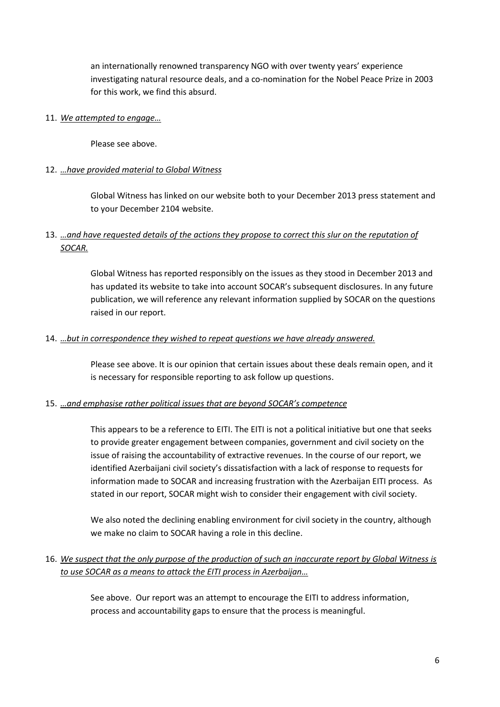an internationally renowned transparency NGO with over twenty years' experience investigating natural resource deals, and a co-nomination for the Nobel Peace Prize in 2003 for this work, we find this absurd.

#### 11. *We attempted to engage…*

Please see above.

#### 12. *…have provided material to Global Witness*

Global Witness has linked on our website both to your December 2013 press statement and to your December 2104 website.

### 13. *…and have requested details of the actions they propose to correct this slur on the reputation of SOCAR.*

Global Witness has reported responsibly on the issues as they stood in December 2013 and has updated its website to take into account SOCAR's subsequent disclosures. In any future publication, we will reference any relevant information supplied by SOCAR on the questions raised in our report.

#### 14. *…but in correspondence they wished to repeat questions we have already answered.*

Please see above. It is our opinion that certain issues about these deals remain open, and it is necessary for responsible reporting to ask follow up questions.

#### 15. *…and emphasise rather political issues that are beyond SOCAR's competence*

This appears to be a reference to EITI. The EITI is not a political initiative but one that seeks to provide greater engagement between companies, government and civil society on the issue of raising the accountability of extractive revenues. In the course of our report, we identified Azerbaijani civil society's dissatisfaction with a lack of response to requests for information made to SOCAR and increasing frustration with the Azerbaijan EITI process. As stated in our report, SOCAR might wish to consider their engagement with civil society.

We also noted the declining enabling environment for civil society in the country, although we make no claim to SOCAR having a role in this decline.

#### 16. *We suspect that the only purpose of the production of such an inaccurate report by Global Witness is to use SOCAR as a means to attack the EITI process in Azerbaijan…*

See above. Our report was an attempt to encourage the EITI to address information, process and accountability gaps to ensure that the process is meaningful.